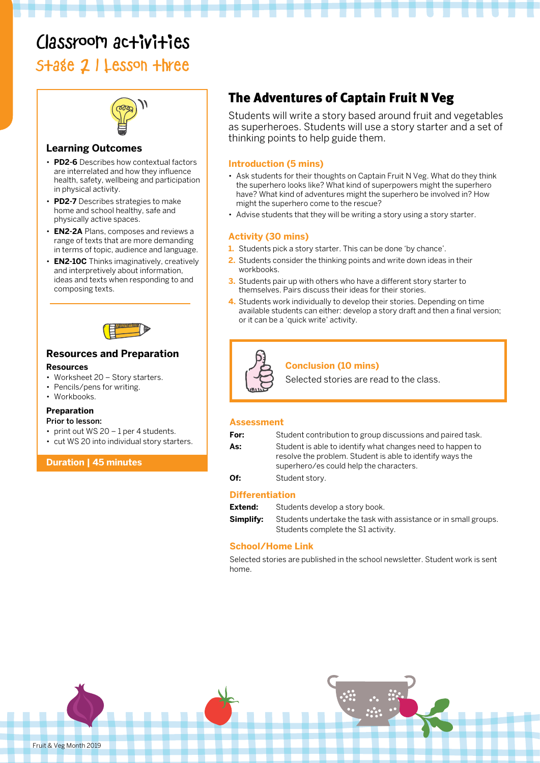# Classroom activities

Stage 2 | Lesson three



#### **Learning Outcomes**

- **PD2-6** Describes how contextual factors are interrelated and how they influence health, safety, wellbeing and participation in physical activity.
- **PD2-7** Describes strategies to make home and school healthy, safe and physically active spaces.
- **EN2-2A** Plans, composes and reviews a range of texts that are more demanding in terms of topic, audience and language.
- **EN2-10C** Thinks imaginatively, creatively and interpretively about information, ideas and texts when responding to and composing texts.



## **Resources and Preparation**

#### **Resources**

- Worksheet 20 Story starters.
- Pencils/pens for writing.
- Workbooks.

### **Preparation**

#### Prior to lesson:

- print out WS 20 1 per 4 students.
- cut WS 20 into individual story starters.

**Duration | 45 minutes**

# The Adventures of Captain Fruit N Veg

Students will write a story based around fruit and vegetables as superheroes. Students will use a story starter and a set of thinking points to help guide them.

#### **Introduction (5 mins)**

- Ask students for their thoughts on Captain Fruit N Veg. What do they think the superhero looks like? What kind of superpowers might the superhero have? What kind of adventures might the superhero be involved in? How might the superhero come to the rescue?
- Advise students that they will be writing a story using a story starter.

#### **Activity (30 mins)**

- **1.** Students pick a story starter. This can be done 'by chance'.
- **2.** Students consider the thinking points and write down ideas in their workbooks.
- **3.** Students pair up with others who have a different story starter to themselves. Pairs discuss their ideas for their stories.
- **4.** Students work individually to develop their stories. Depending on time available students can either: develop a story draft and then a final version; or it can be a 'quick write' activity.



#### **Conclusion (10 mins)**

Selected stories are read to the class.

#### **Assessment**

| For: | Student contribution to group discussions and paired task.                                                                                                         |
|------|--------------------------------------------------------------------------------------------------------------------------------------------------------------------|
| As:  | Student is able to identify what changes need to happen to<br>resolve the problem. Student is able to identify ways the<br>superhero/es could help the characters. |
| Of:  | Student story.                                                                                                                                                     |

#### **Differentiation**

**Extend:** Students develop a story book.

**Simplify:** Students undertake the task with assistance or in small groups. Students complete the S1 activity.

#### **School/Home Link**

Selected stories are published in the school newsletter. Student work is sent home.